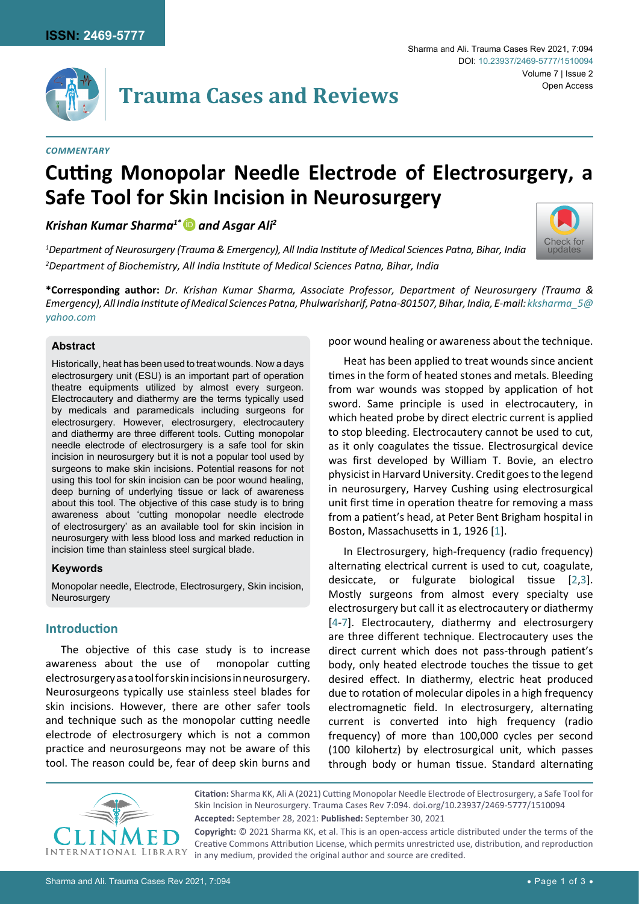

#### *Commentary*

# **Cutting Monopolar Needle Electrode of Electrosurgery, a Safe Tool for Skin Incision in Neurosurgery**

*Krishan Kumar Sharma1\** [iD](https://orcid.org/0000-0001-6407-8833) *and Asgar Ali2*

*1 Department of Neurosurgery (Trauma & Emergency), All India Institute of Medical Sciences Patna, Bihar, India 2 Department of Biochemistry, All India Institute of Medical Sciences Patna, Bihar, India*

**\*Corresponding author:** *Dr. Krishan Kumar Sharma, Associate Professor, Department of Neurosurgery (Trauma & Emergency), All India Institute of Medical Sciences Patna, Phulwarisharif, Patna-801507, Bihar, India, E-mail: [kksharma\\_5@](mailto:kksharma_5@yahoo.com) [yahoo.com](mailto:kksharma_5@yahoo.com)*

### **Abstract**

Historically, heat has been used to treat wounds. Now a days electrosurgery unit (ESU) is an important part of operation theatre equipments utilized by almost every surgeon. Electrocautery and diathermy are the terms typically used by medicals and paramedicals including surgeons for electrosurgery. However, electrosurgery, electrocautery and diathermy are three different tools. Cutting monopolar needle electrode of electrosurgery is a safe tool for skin incision in neurosurgery but it is not a popular tool used by surgeons to make skin incisions. Potential reasons for not using this tool for skin incision can be poor wound healing, deep burning of underlying tissue or lack of awareness about this tool. The objective of this case study is to bring awareness about 'cutting monopolar needle electrode of electrosurgery' as an available tool for skin incision in neurosurgery with less blood loss and marked reduction in incision time than stainless steel surgical blade.

#### **Keywords**

Monopolar needle, Electrode, Electrosurgery, Skin incision, Neurosurgery

## **Introduction**

The objective of this case study is to increase awareness about the use of monopolar cutting electrosurgery as a tool for skin incisions in neurosurgery. Neurosurgeons typically use stainless steel blades for skin incisions. However, there are other safer tools and technique such as the monopolar cutting needle electrode of electrosurgery which is not a common practice and neurosurgeons may not be aware of this tool. The reason could be, fear of deep skin burns and poor wound healing or awareness about the technique.

[Check for](http://crossmark.crossref.org/dialog/?doi=10.23937/2469-5777/1510094&domain=pdf) updates

Heat has been applied to treat wounds since ancient times in the form of heated stones and metals. Bleeding from war wounds was stopped by application of hot sword. Same principle is used in electrocautery, in which heated probe by direct electric current is applied to stop bleeding. Electrocautery cannot be used to cut, as it only coagulates the tissue. Electrosurgical device was first developed by William T. Bovie, an electro physicist in Harvard University. Credit goes to the legend in neurosurgery, Harvey Cushing using electrosurgical unit first time in operation theatre for removing a mass from a patient's head, at Peter Bent Brigham hospital in Boston, Massachusetts in 1, 1926 [[1](#page-2-0)].

In Electrosurgery, high-frequency (radio frequency) alternating electrical current is used to cut, coagulate, desiccate, or fulgurate biological tissue [[2](#page-2-1),[3\]](#page-2-2). Mostly surgeons from almost every specialty use electrosurgery but call it as electrocautery or diathermy [[4](#page-2-3)[-7](#page-2-4)]. Electrocautery, diathermy and electrosurgery are three different technique. Electrocautery uses the direct current which does not pass-through patient's body, only heated electrode touches the tissue to get desired effect. In diathermy, electric heat produced due to rotation of molecular dipoles in a high frequency electromagnetic field. In electrosurgery, alternating current is converted into high frequency (radio frequency) of more than 100,000 cycles per second (100 kilohertz) by electrosurgical unit, which passes through body or human tissue. Standard alternating



**Citation:** Sharma KK, Ali A (2021) Cutting Monopolar Needle Electrode of Electrosurgery, a Safe Tool for Skin Incision in Neurosurgery. Trauma Cases Rev 7:094. [doi.org/10.23937/2469-5777/1510094](https://doi.org/10.23937/2469-5777/1510094) **Accepted:** September 28, 2021: **Published:** September 30, 2021

**Copyright:** © 2021 Sharma KK, et al. This is an open-access article distributed under the terms of the Creative Commons Attribution License, which permits unrestricted use, distribution, and reproduction in any medium, provided the original author and source are credited.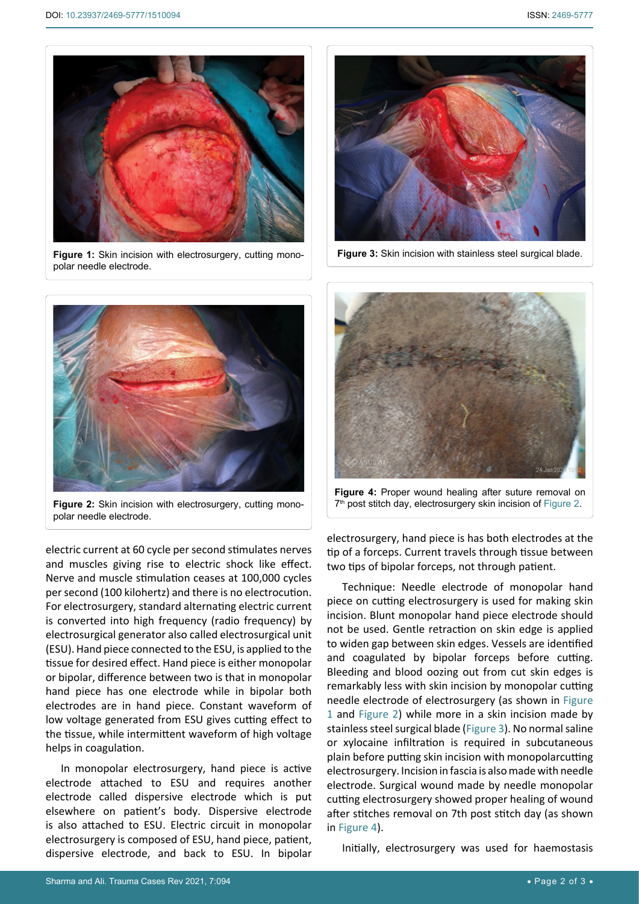<span id="page-1-0"></span>

**Figure 1:** Skin incision with electrosurgery, cutting monopolar needle electrode.



<span id="page-1-2"></span>Ī

**Figure 3:** Skin incision with stainless steel surgical blade.

<span id="page-1-1"></span>

**Figure 2:** Skin incision with electrosurgery, cutting monopolar needle electrode.

electric current at 60 cycle per second stimulates nerves and muscles giving rise to electric shock like effect. Nerve and muscle stimulation ceases at 100,000 cycles per second (100 kilohertz) and there is no electrocution. For electrosurgery, standard alternating electric current is converted into high frequency (radio frequency) by electrosurgical generator also called electrosurgical unit (ESU). Hand piece connected to the ESU, is applied to the tissue for desired effect. Hand piece is either monopolar or bipolar, difference between two is that in monopolar hand piece has one electrode while in bipolar both electrodes are in hand piece. Constant waveform of low voltage generated from ESU gives cutting effect to the tissue, while intermittent waveform of high voltage helps in coagulation.

In monopolar electrosurgery, hand piece is active electrode attached to ESU and requires another electrode called dispersive electrode which is put elsewhere on patient's body. Dispersive electrode is also attached to ESU. Electric circuit in monopolar electrosurgery is composed of ESU, hand piece, patient, dispersive electrode, and back to ESU. In bipolar

<span id="page-1-3"></span>

**Figure 4:** Proper wound healing after suture removal on 7<sup>th</sup> post stitch day, electrosurgery skin incision of [Figure 2.](#page-1-1)

electrosurgery, hand piece is has both electrodes at the tip of a forceps. Current travels through tissue between two tips of bipolar forceps, not through patient.

Technique: Needle electrode of monopolar hand piece on cutting electrosurgery is used for making skin incision. Blunt monopolar hand piece electrode should not be used. Gentle retraction on skin edge is applied to widen gap between skin edges. Vessels are identified and coagulated by bipolar forceps before cutting. Bleeding and blood oozing out from cut skin edges is remarkably less with skin incision by monopolar cutting needle electrode of electrosurgery (as shown in [Figure](#page-1-0)  [1](#page-1-0) and [Figure 2](#page-1-1)) while more in a skin incision made by stainless steel surgical blade ([Figure 3\)](#page-1-2). No normal saline or xylocaine infiltration is required in subcutaneous plain before putting skin incision with monopolarcutting electrosurgery. Incision in fascia is also made with needle electrode. Surgical wound made by needle monopolar cutting electrosurgery showed proper healing of wound after stitches removal on 7th post stitch day (as shown in [Figure 4](#page-1-3)).

Initially, electrosurgery was used for haemostasis